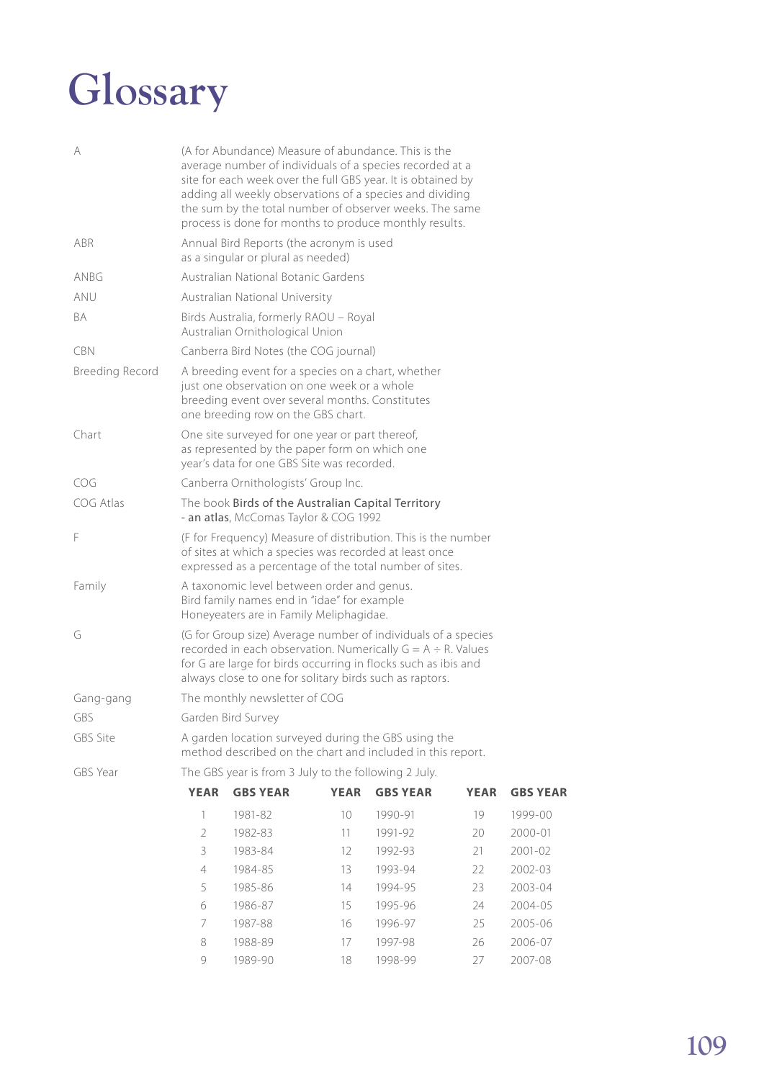## **Glossary**

| A                      |                                                                                                                                                                                                                                                                 | (A for Abundance) Measure of abundance. This is the<br>average number of individuals of a species recorded at a<br>site for each week over the full GBS year. It is obtained by<br>adding all weekly observations of a species and dividing<br>the sum by the total number of observer weeks. The same<br>process is done for months to produce monthly results. |             |                 |             |                 |  |  |
|------------------------|-----------------------------------------------------------------------------------------------------------------------------------------------------------------------------------------------------------------------------------------------------------------|------------------------------------------------------------------------------------------------------------------------------------------------------------------------------------------------------------------------------------------------------------------------------------------------------------------------------------------------------------------|-------------|-----------------|-------------|-----------------|--|--|
| ABR                    |                                                                                                                                                                                                                                                                 | Annual Bird Reports (the acronym is used<br>as a singular or plural as needed)                                                                                                                                                                                                                                                                                   |             |                 |             |                 |  |  |
| anbg                   |                                                                                                                                                                                                                                                                 | Australian National Botanic Gardens                                                                                                                                                                                                                                                                                                                              |             |                 |             |                 |  |  |
| ANU                    |                                                                                                                                                                                                                                                                 | Australian National University                                                                                                                                                                                                                                                                                                                                   |             |                 |             |                 |  |  |
| BA                     |                                                                                                                                                                                                                                                                 | Birds Australia, formerly RAOU - Royal<br>Australian Ornithological Union                                                                                                                                                                                                                                                                                        |             |                 |             |                 |  |  |
| <b>CBN</b>             |                                                                                                                                                                                                                                                                 | Canberra Bird Notes (the COG journal)                                                                                                                                                                                                                                                                                                                            |             |                 |             |                 |  |  |
| <b>Breeding Record</b> | A breeding event for a species on a chart, whether<br>just one observation on one week or a whole<br>breeding event over several months. Constitutes<br>one breeding row on the GBS chart.                                                                      |                                                                                                                                                                                                                                                                                                                                                                  |             |                 |             |                 |  |  |
| Chart                  | One site surveyed for one year or part thereof,<br>as represented by the paper form on which one<br>year's data for one GBS Site was recorded.                                                                                                                  |                                                                                                                                                                                                                                                                                                                                                                  |             |                 |             |                 |  |  |
| COG                    | Canberra Ornithologists' Group Inc.                                                                                                                                                                                                                             |                                                                                                                                                                                                                                                                                                                                                                  |             |                 |             |                 |  |  |
| COG Atlas              | The book Birds of the Australian Capital Territory<br>- an atlas, McComas Taylor & COG 1992                                                                                                                                                                     |                                                                                                                                                                                                                                                                                                                                                                  |             |                 |             |                 |  |  |
| F                      | (F for Frequency) Measure of distribution. This is the number<br>of sites at which a species was recorded at least once<br>expressed as a percentage of the total number of sites.                                                                              |                                                                                                                                                                                                                                                                                                                                                                  |             |                 |             |                 |  |  |
| Family                 | A taxonomic level between order and genus.<br>Bird family names end in "idae" for example<br>Honeyeaters are in Family Meliphagidae.                                                                                                                            |                                                                                                                                                                                                                                                                                                                                                                  |             |                 |             |                 |  |  |
| G                      | (G for Group size) Average number of individuals of a species<br>recorded in each observation. Numerically $G = A \div R$ . Values<br>for G are large for birds occurring in flocks such as ibis and<br>always close to one for solitary birds such as raptors. |                                                                                                                                                                                                                                                                                                                                                                  |             |                 |             |                 |  |  |
| Gang-gang              | The monthly newsletter of COG                                                                                                                                                                                                                                   |                                                                                                                                                                                                                                                                                                                                                                  |             |                 |             |                 |  |  |
| GBS                    | Garden Bird Survey                                                                                                                                                                                                                                              |                                                                                                                                                                                                                                                                                                                                                                  |             |                 |             |                 |  |  |
| GBS Site               | A garden location surveyed during the GBS using the<br>method described on the chart and included in this report.                                                                                                                                               |                                                                                                                                                                                                                                                                                                                                                                  |             |                 |             |                 |  |  |
| GBS Year               | The GBS year is from 3 July to the following 2 July.                                                                                                                                                                                                            |                                                                                                                                                                                                                                                                                                                                                                  |             |                 |             |                 |  |  |
|                        | <b>YEAR</b>                                                                                                                                                                                                                                                     | <b>GBS YEAR</b>                                                                                                                                                                                                                                                                                                                                                  | <b>YEAR</b> | <b>GBS YEAR</b> | <b>YEAR</b> | <b>GBS YEAR</b> |  |  |
|                        | 1                                                                                                                                                                                                                                                               | 1981-82                                                                                                                                                                                                                                                                                                                                                          | 10          | 1990-91         | 19          | 1999-00         |  |  |
|                        | 2                                                                                                                                                                                                                                                               | 1982-83                                                                                                                                                                                                                                                                                                                                                          | 11          | 1991-92         | 20          | 2000-01         |  |  |
|                        | 3                                                                                                                                                                                                                                                               | 1983-84                                                                                                                                                                                                                                                                                                                                                          | 12          | 1992-93         | 21          | 2001-02         |  |  |
|                        | $\overline{4}$                                                                                                                                                                                                                                                  | 1984-85                                                                                                                                                                                                                                                                                                                                                          | 13          | 1993-94         | 22          | 2002-03         |  |  |
|                        | 5                                                                                                                                                                                                                                                               | 1985-86                                                                                                                                                                                                                                                                                                                                                          | 14          | 1994-95         | 23          | 2003-04         |  |  |
|                        | 6                                                                                                                                                                                                                                                               | 1986-87                                                                                                                                                                                                                                                                                                                                                          | 15          | 1995-96         | 24          | 2004-05         |  |  |
|                        | 7                                                                                                                                                                                                                                                               | 1987-88                                                                                                                                                                                                                                                                                                                                                          | 16          | 1996-97         | 25          | 2005-06         |  |  |
|                        | 8                                                                                                                                                                                                                                                               | 1988-89                                                                                                                                                                                                                                                                                                                                                          | 17          | 1997-98         | 26          | 2006-07         |  |  |

9 1989-90 18 1998-99 27 2007-08